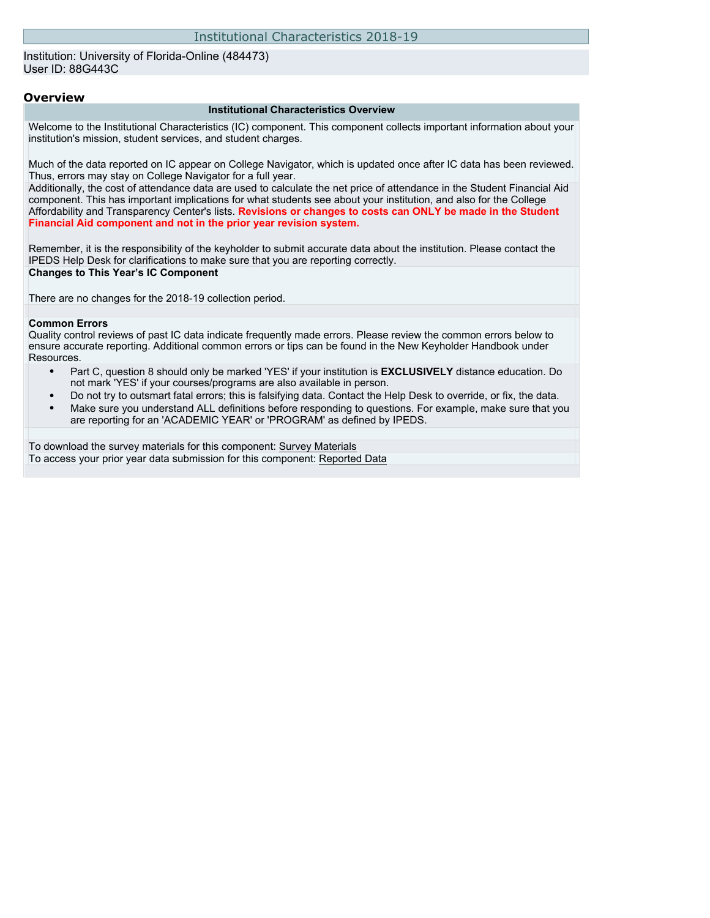#### Institution: University of Florida-Online (484473) User ID: 88G443C

#### **Overview**

#### **Institutional Characteristics Overview**

Welcome to the Institutional Characteristics (IC) component. This component collects important information about your institution's mission, student services, and student charges.

Much of the data reported on IC appear on College Navigator, which is updated once after IC data has been reviewed. Thus, errors may stay on College Navigator for a full year.

Additionally, the cost of attendance data are used to calculate the net price of attendance in the Student Financial Aid component. This has important implications for what students see about your institution, and also for the College Affordability and Transparency Center's lists. **Revisions or changes to costs can ONLY be made in the Student Financial Aid component and not in the prior year revision system.**

Remember, it is the responsibility of the keyholder to submit accurate data about the institution. Please contact the IPEDS Help Desk for clarifications to make sure that you are reporting correctly. **Changes to This Year's IC Component**

There are no changes for the 2018-19 collection period.

#### **Common Errors**

Quality control reviews of past IC data indicate frequently made errors. Please review the common errors below to ensure accurate reporting. Additional common errors or tips can be found in the New Keyholder Handbook under Resources.

- Part C, question 8 should only be marked 'YES' if your institution is **EXCLUSIVELY** distance education. Do not mark 'YES' if your courses/programs are also available in person.
- Do not try to outsmart fatal errors; this is falsifying data. Contact the Help Desk to override, or fix, the data.
- Make sure you understand ALL definitions before responding to questions. For example, make sure that you are reporting for an 'ACADEMIC YEAR' or 'PROGRAM' as defined by IPEDS.

To download the survey materials for this component: [Survey Materials](https://surveys.nces.ed.gov/ipeds/VisIndex.aspx) To access your prior year data submission for this component: [Reported Data](http://192.168.102.153/ipeds/PriorYearDataRedirect.aspx?survey_id=11)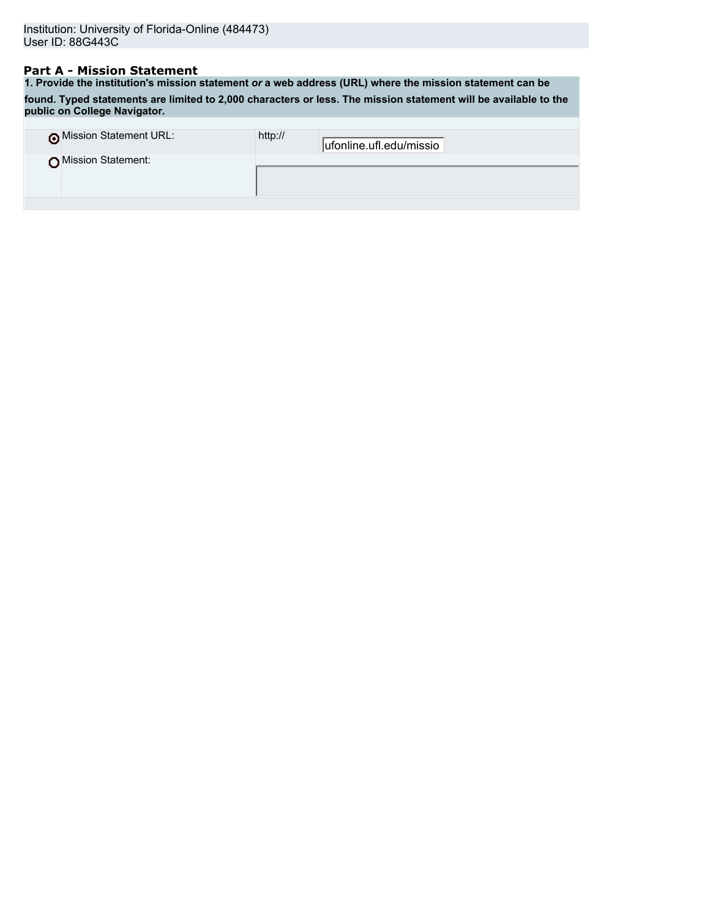## **Part A - Mission Statement**

**1. Provide the institution's mission statement** *or* **a web address (URL) where the mission statement can be found. Typed statements are limited to 2,000 characters or less. The mission statement will be available to the public on College Navigator.**

| o Mission Statement URL: | http:// | ufonline.ufl.edu/missio |
|--------------------------|---------|-------------------------|
| Mission Statement:       |         |                         |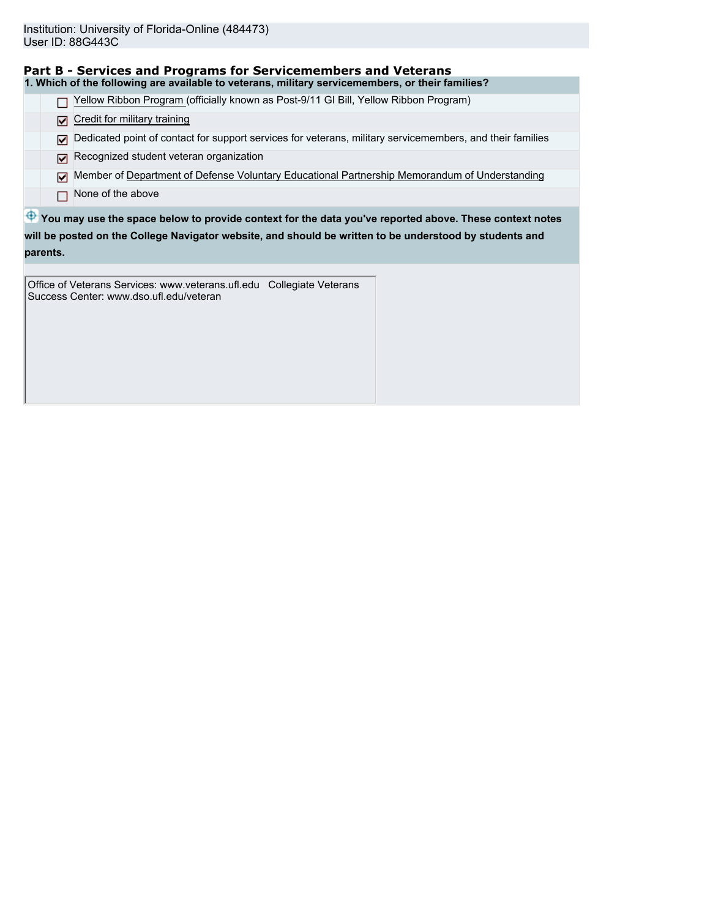| Part B - Services and Programs for Servicemembers and Veterans                                                 |
|----------------------------------------------------------------------------------------------------------------|
| 1. Which of the following are available to veterans, military servicemembers, or their families?               |
| Yellow Ribbon Program (officially known as Post-9/11 GI Bill, Yellow Ribbon Program)                           |
| Credit for military training<br>☑                                                                              |
| Dedicated point of contact for support services for veterans, military servicemembers, and their families<br>М |
| Recognized student veteran organization<br>⊡                                                                   |
| Member of Department of Defense Voluntary Educational Partnership Memorandum of Understanding<br>⊡             |
| None of the above<br>г                                                                                         |
| P You may use the space below to provide context for the data you've reported above. These context notes       |
| will be posted on the College Navigator website, and should be written to be understood by students and        |

**parents.**

Office of Veterans Services: www.veterans.ufl.edu Collegiate Veterans Success Center: www.dso.ufl.edu/veteran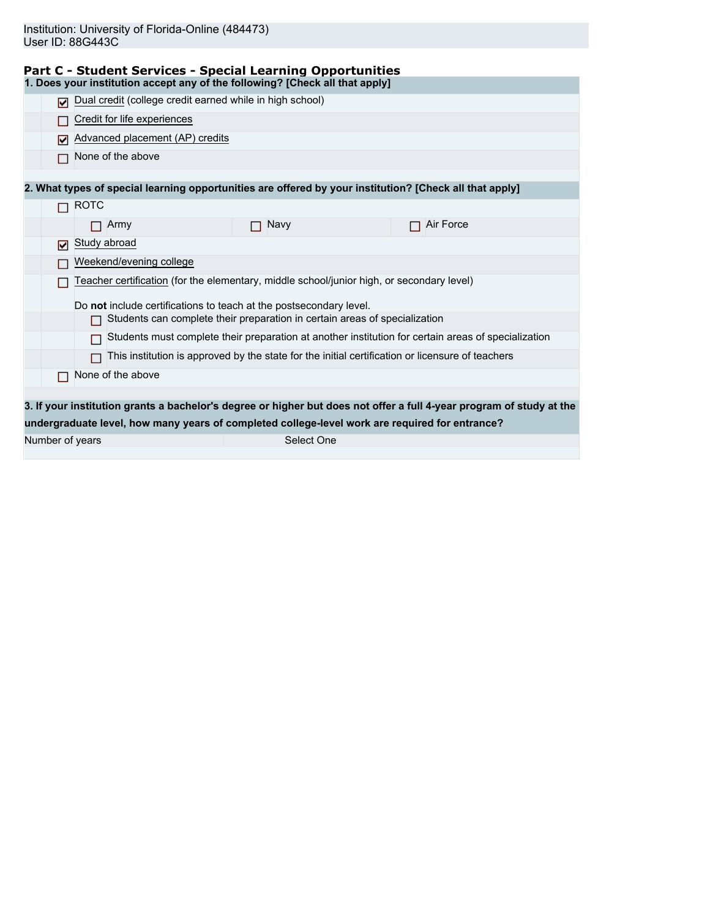| Study abroad                                                                                                         |  |  |  |  |
|----------------------------------------------------------------------------------------------------------------------|--|--|--|--|
| Weekend/evening college                                                                                              |  |  |  |  |
| Teacher certification (for the elementary, middle school/junior high, or secondary level)                            |  |  |  |  |
|                                                                                                                      |  |  |  |  |
|                                                                                                                      |  |  |  |  |
| Students must complete their preparation at another institution for certain areas of specialization<br>П             |  |  |  |  |
|                                                                                                                      |  |  |  |  |
|                                                                                                                      |  |  |  |  |
|                                                                                                                      |  |  |  |  |
| 3. If your institution grants a bachelor's degree or higher but does not offer a full 4-year program of study at the |  |  |  |  |
|                                                                                                                      |  |  |  |  |
|                                                                                                                      |  |  |  |  |
|                                                                                                                      |  |  |  |  |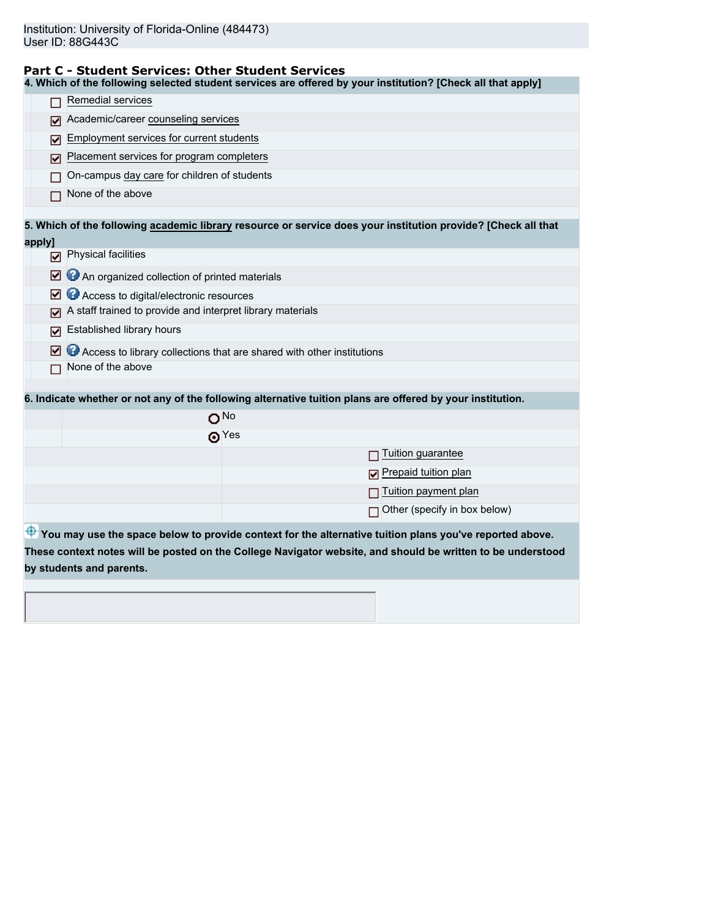#### **Part C - Student Services: Other Student Services**

**4. Which of the following selected student services are offered by your institution? [Check all that apply]**

|        | Remedial services                                                                                             |  |  |  |
|--------|---------------------------------------------------------------------------------------------------------------|--|--|--|
| м      | Academic/career counseling services                                                                           |  |  |  |
| M      | Employment services for current students                                                                      |  |  |  |
| M      | Placement services for program completers                                                                     |  |  |  |
|        | On-campus day care for children of students                                                                   |  |  |  |
|        | None of the above                                                                                             |  |  |  |
|        | 5. Which of the following academic library resource or service does your institution provide? [Check all that |  |  |  |
| apply] |                                                                                                               |  |  |  |
|        | $\nabla$ Physical facilities                                                                                  |  |  |  |
| ⊡      | An organized collection of printed materials                                                                  |  |  |  |
| ☑      | Access to digital/electronic resources                                                                        |  |  |  |
| ⊽      | A staff trained to provide and interpret library materials                                                    |  |  |  |
| ⊽      | Established library hours                                                                                     |  |  |  |
| ⊡      | Access to library collections that are shared with other institutions                                         |  |  |  |
|        | None of the above                                                                                             |  |  |  |
|        |                                                                                                               |  |  |  |
|        | 6. Indicate whether or not any of the following alternative tuition plans are offered by your institution.    |  |  |  |
|        | ONO                                                                                                           |  |  |  |
|        | $\odot$ Yes                                                                                                   |  |  |  |
|        | Tuition guarantee                                                                                             |  |  |  |
|        | Prepaid tuition plan                                                                                          |  |  |  |
|        | Tuition payment plan                                                                                          |  |  |  |
|        | Other (specify in box below)                                                                                  |  |  |  |
|        | You may use the space below to provide context for the alternative tuition plans you've reported above.       |  |  |  |
|        | These context notes will be posted on the College Navigator website, and should be written to be understood   |  |  |  |
|        | by students and parents.                                                                                      |  |  |  |
|        |                                                                                                               |  |  |  |
|        |                                                                                                               |  |  |  |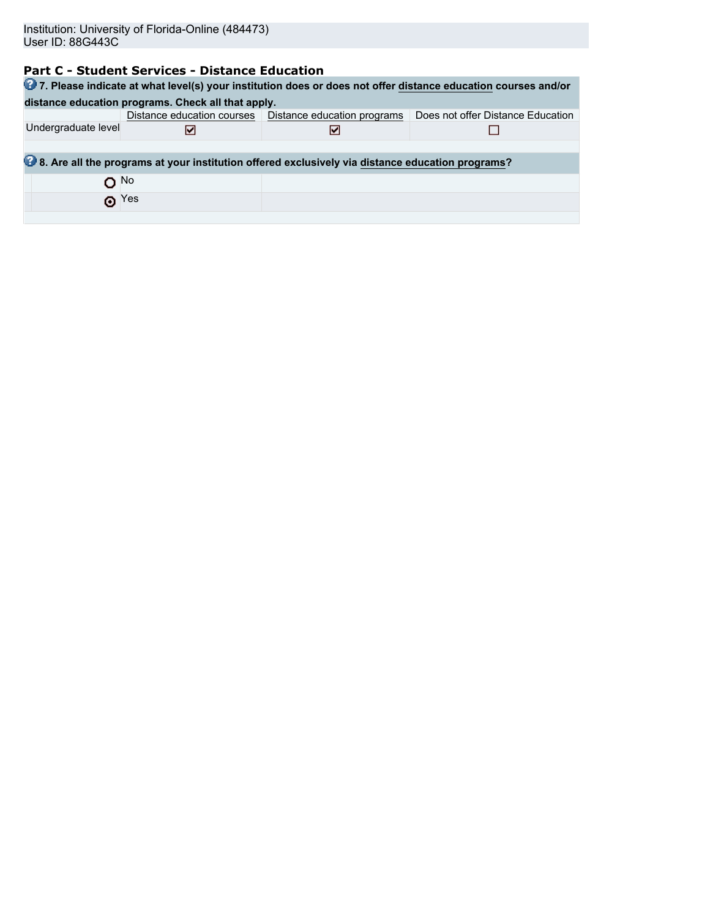# **Part C - Student Services - Distance Education**

| 27. Please indicate at what level(s) your institution does or does not offer distance education courses and/or |             |                                                                                                  |                                   |  |  |  |
|----------------------------------------------------------------------------------------------------------------|-------------|--------------------------------------------------------------------------------------------------|-----------------------------------|--|--|--|
| distance education programs. Check all that apply.                                                             |             |                                                                                                  |                                   |  |  |  |
|                                                                                                                |             | Distance education courses   Distance education programs                                         | Does not offer Distance Education |  |  |  |
| Undergraduate level                                                                                            | M           |                                                                                                  |                                   |  |  |  |
|                                                                                                                |             |                                                                                                  |                                   |  |  |  |
|                                                                                                                |             | 8. Are all the programs at your institution offered exclusively via distance education programs? |                                   |  |  |  |
| $O$ <sup>No</sup>                                                                                              |             |                                                                                                  |                                   |  |  |  |
|                                                                                                                | $\odot$ Yes |                                                                                                  |                                   |  |  |  |
|                                                                                                                |             |                                                                                                  |                                   |  |  |  |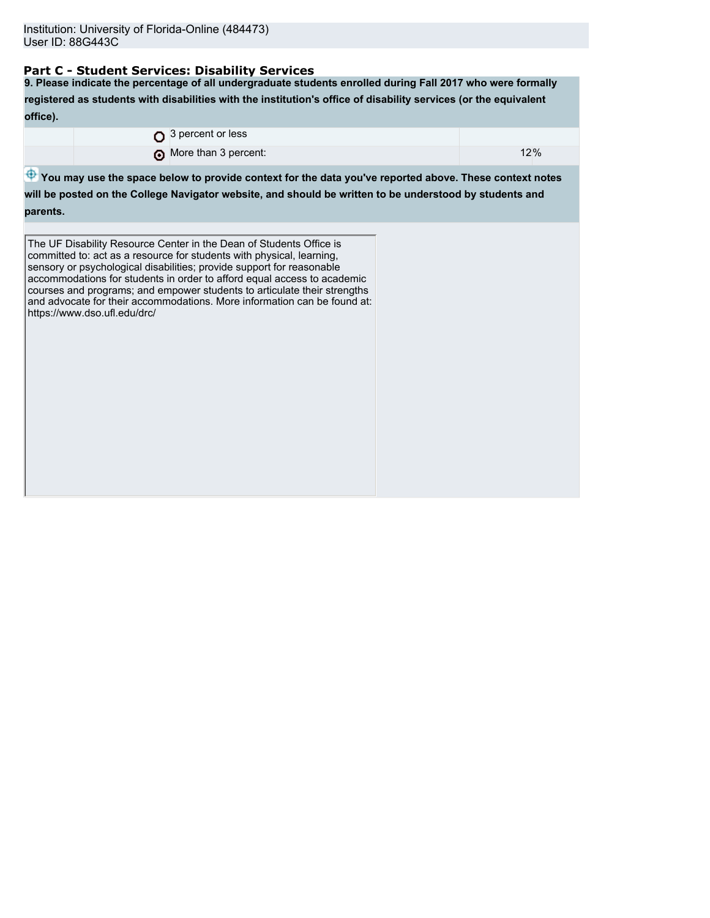## **Part C - Student Services: Disability Services**

**9. Please indicate the percentage of all undergraduate students enrolled during Fall 2017 who were formally registered as students with disabilities with the institution's office of disability services (or the equivalent office).**

|  | $\Omega$ 3 percent or less |     |
|--|----------------------------|-----|
|  | More than 3 percent:       | 12% |

 $\bigoplus$  **You may use the space below to provide context for the data you've reported above. These context notes** 

**will be posted on the College Navigator website, and should be written to be understood by students and parents.**

The UF Disability Resource Center in the Dean of Students Office is committed to: act as a resource for students with physical, learning, sensory or psychological disabilities; provide support for reasonable accommodations for students in order to afford equal access to academic courses and programs; and empower students to articulate their strengths and advocate for their accommodations. More information can be found at: https://www.dso.ufl.edu/drc/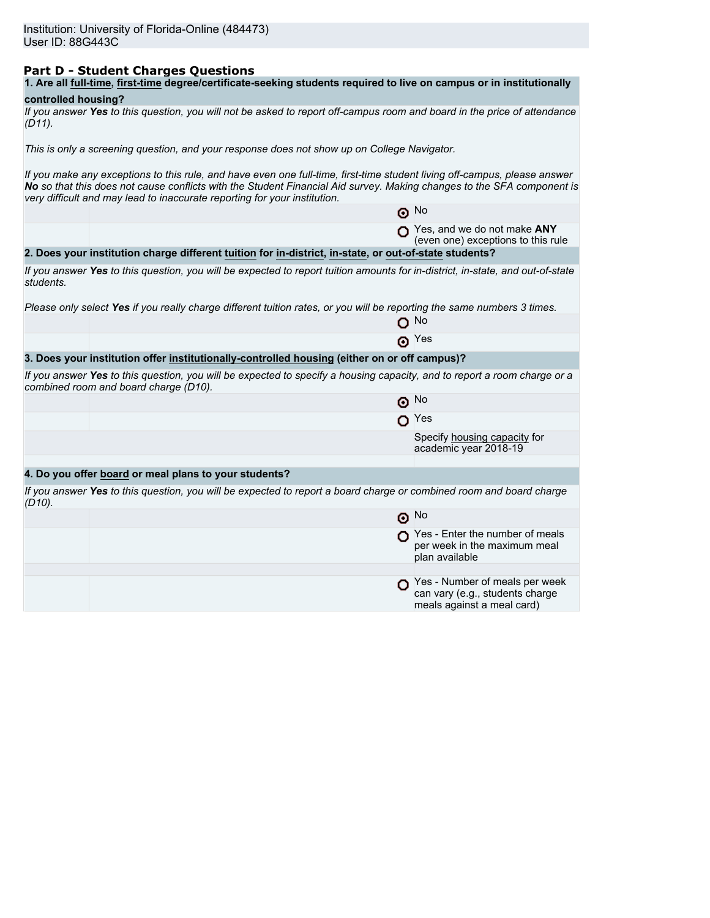## **Part D - Student Charges Questions**

|  |  |  |  | 1. Are all full-time, first-time degree/certificate-seeking students required to live on campus or in institutionally |
|--|--|--|--|-----------------------------------------------------------------------------------------------------------------------|
|--|--|--|--|-----------------------------------------------------------------------------------------------------------------------|

## **controlled housing?**

|        | If you answer Yes to this question, you will not be asked to report off-campus room and board in the price of attendance |  |  |
|--------|--------------------------------------------------------------------------------------------------------------------------|--|--|
| (D11). |                                                                                                                          |  |  |

*This is only a screening question, and your response does not show up on College Navigator.*

*If you make any exceptions to this rule, and have even one full-time, first-time student living off-campus, please answer No so that this does not cause conflicts with the Student Financial Aid survey. Making changes to the SFA component is very difficult and may lead to inaccurate reporting for your institution.*

|           |                                                                                                                                                                   | $\odot$ No                                                                                      |
|-----------|-------------------------------------------------------------------------------------------------------------------------------------------------------------------|-------------------------------------------------------------------------------------------------|
|           |                                                                                                                                                                   | Yes, and we do not make ANY<br>(even one) exceptions to this rule                               |
|           | 2. Does your institution charge different tuition for in-district, in-state, or out-of-state students?                                                            |                                                                                                 |
| students. | If you answer Yes to this question, you will be expected to report tuition amounts for in-district, in-state, and out-of-state                                    |                                                                                                 |
|           | Please only select Yes if you really charge different tuition rates, or you will be reporting the same numbers 3 times.                                           |                                                                                                 |
|           |                                                                                                                                                                   | റ <sup>No</sup>                                                                                 |
|           |                                                                                                                                                                   | $\odot$ Yes                                                                                     |
|           | 3. Does your institution offer institutionally-controlled housing (either on or off campus)?                                                                      |                                                                                                 |
|           | If you answer Yes to this question, you will be expected to specify a housing capacity, and to report a room charge or a<br>combined room and board charge (D10). |                                                                                                 |
|           |                                                                                                                                                                   | $\odot$ No                                                                                      |
|           |                                                                                                                                                                   | $O$ Yes                                                                                         |
|           |                                                                                                                                                                   | Specify housing capacity for<br>academic year 2018-19                                           |
|           |                                                                                                                                                                   |                                                                                                 |
|           | 4. Do you offer board or meal plans to your students?                                                                                                             |                                                                                                 |
| $(D10)$ . | If you answer Yes to this question, you will be expected to report a board charge or combined room and board charge                                               |                                                                                                 |
|           |                                                                                                                                                                   | $\odot$ No                                                                                      |
|           |                                                                                                                                                                   | $\bigcap$ Yes - Enter the number of meals<br>per week in the maximum meal<br>plan available     |
|           |                                                                                                                                                                   |                                                                                                 |
|           |                                                                                                                                                                   | Yes - Number of meals per week<br>can vary (e.g., students charge<br>meals against a meal card) |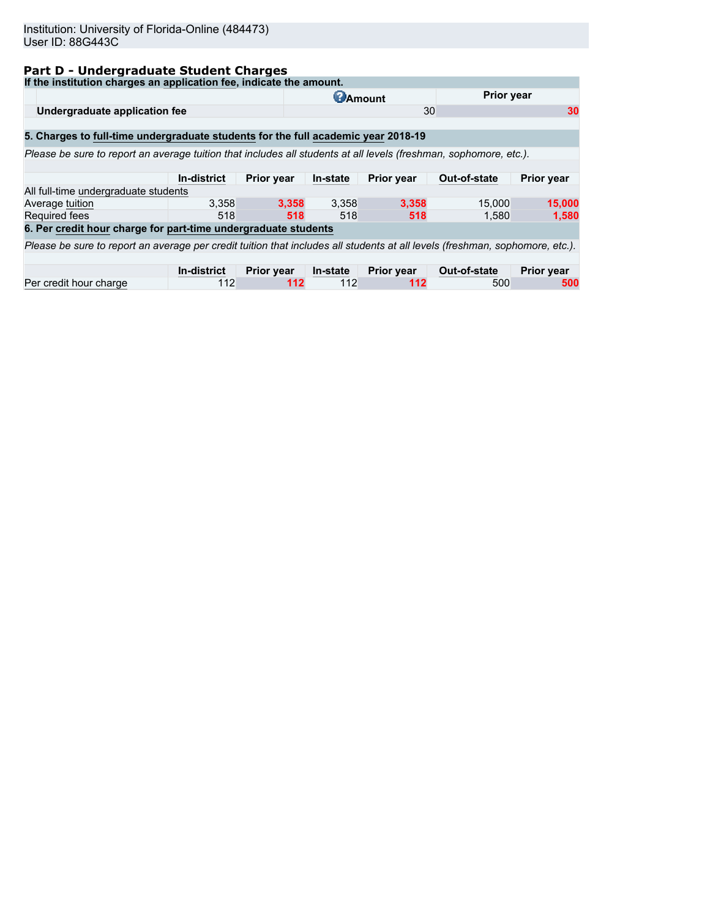## **Part D - Undergraduate Student Charges**

| If the institution charges an application fee, indicate the amount.                                                          |                    |                   |                 |                   |              |                   |  |
|------------------------------------------------------------------------------------------------------------------------------|--------------------|-------------------|-----------------|-------------------|--------------|-------------------|--|
|                                                                                                                              |                    |                   | <b>C</b> Amount |                   |              | <b>Prior year</b> |  |
| Undergraduate application fee                                                                                                |                    |                   |                 | 30                |              | 30                |  |
|                                                                                                                              |                    |                   |                 |                   |              |                   |  |
| 5. Charges to full-time undergraduate students for the full academic year 2018-19                                            |                    |                   |                 |                   |              |                   |  |
| Please be sure to report an average tuition that includes all students at all levels (freshman, sophomore, etc.).            |                    |                   |                 |                   |              |                   |  |
|                                                                                                                              |                    |                   |                 |                   |              |                   |  |
|                                                                                                                              | In-district        | <b>Prior year</b> | In-state        | Prior year        | Out-of-state | <b>Prior year</b> |  |
| All full-time undergraduate students                                                                                         |                    |                   |                 |                   |              |                   |  |
| Average tuition                                                                                                              | 3.358              | 3.358             | 3,358           | 3.358             | 15,000       | 15,000            |  |
| <b>Required fees</b>                                                                                                         | 518                | 518               | 518             | 518               | 1.580        | 1,580             |  |
| 6. Per credit hour charge for part-time undergraduate students                                                               |                    |                   |                 |                   |              |                   |  |
| Please be sure to report an average per credit tuition that includes all students at all levels (freshman, sophomore, etc.). |                    |                   |                 |                   |              |                   |  |
|                                                                                                                              |                    |                   |                 |                   |              |                   |  |
|                                                                                                                              | <b>In-district</b> | <b>Prior year</b> | In-state        | <b>Prior year</b> | Out-of-state | <b>Prior year</b> |  |
| Per credit hour charge                                                                                                       | 112                | 112               | 112             | 112               | 500          | 500               |  |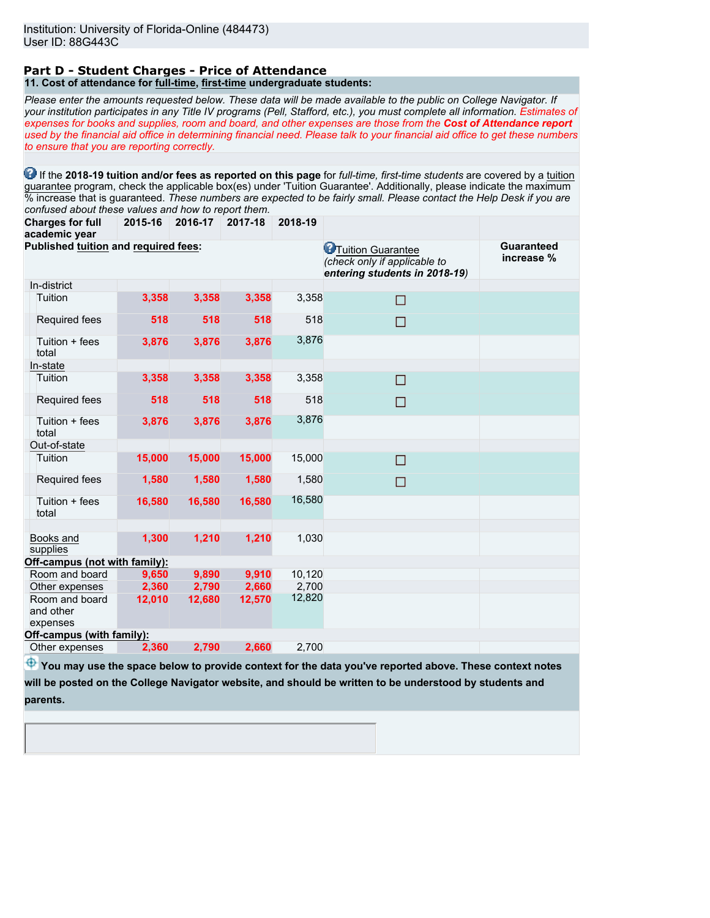#### **Part D - Student Charges - Price of Attendance 11. Cost of attendance for full-time, first-time undergraduate students:**

*Please enter the amounts requested below. These data will be made available to the public on College Navigator. If your institution participates in any Title IV programs (Pell, Stafford, etc.), you must complete all information. Estimates of expenses for books and supplies, room and board, and other expenses are those from the Cost of Attendance report used by the financial aid office in determining financial need. Please talk to your financial aid office to get these numbers to ensure that you are reporting correctly.*

**1** If the 2018-19 tuition and/or fees as reported on this page for *full-time, first-time students* are covered by a tuition guarantee program, check the applicable box(es) under 'Tuition Guarantee'. Additionally, please indicate the maximum % increase that is guaranteed. *These numbers are expected to be fairly small. Please contact the Help Desk if you are confused about these values and how to report them.*

**Charges for full 2015-16 2016-17 2017-18 2018-19**

| academic year                           |        |        |        |        |                                                                                             |                                 |
|-----------------------------------------|--------|--------|--------|--------|---------------------------------------------------------------------------------------------|---------------------------------|
| Published tuition and required fees:    |        |        |        |        | <b>O</b> Tuition Guarantee<br>(check only if applicable to<br>entering students in 2018-19) | <b>Guaranteed</b><br>increase % |
| In-district                             |        |        |        |        |                                                                                             |                                 |
| Tuition                                 | 3,358  | 3,358  | 3,358  | 3,358  | П                                                                                           |                                 |
| Required fees                           | 518    | 518    | 518    | 518    | □                                                                                           |                                 |
| Tuition + fees<br>total                 | 3,876  | 3,876  | 3,876  | 3,876  |                                                                                             |                                 |
| In-state                                |        |        |        |        |                                                                                             |                                 |
| Tuition                                 | 3,358  | 3,358  | 3,358  | 3,358  | □                                                                                           |                                 |
| Required fees                           | 518    | 518    | 518    | 518    | П                                                                                           |                                 |
| Tuition + fees<br>total                 | 3,876  | 3,876  | 3,876  | 3,876  |                                                                                             |                                 |
| Out-of-state                            |        |        |        |        |                                                                                             |                                 |
| Tuition                                 | 15,000 | 15,000 | 15,000 | 15,000 | П                                                                                           |                                 |
| Required fees                           | 1,580  | 1,580  | 1,580  | 1,580  | П                                                                                           |                                 |
| Tuition + fees<br>total                 | 16,580 | 16,580 | 16,580 | 16,580 |                                                                                             |                                 |
|                                         |        |        |        |        |                                                                                             |                                 |
| Books and<br>supplies                   | 1,300  | 1,210  | 1,210  | 1,030  |                                                                                             |                                 |
| Off-campus (not with family):           |        |        |        |        |                                                                                             |                                 |
| Room and board                          | 9,650  | 9,890  | 9,910  | 10,120 |                                                                                             |                                 |
| Other expenses                          | 2,360  | 2,790  | 2,660  | 2,700  |                                                                                             |                                 |
| Room and board<br>and other<br>expenses | 12,010 | 12,680 | 12,570 | 12,820 |                                                                                             |                                 |
| Off-campus (with family):               |        |        |        |        |                                                                                             |                                 |
| Other expenses                          | 2,360  | 2,790  | 2,660  | 2,700  |                                                                                             |                                 |
|                                         |        |        |        |        |                                                                                             |                                 |

 $\bigoplus$  **You may use the space below to provide context for the data you've reported above. These context notes will be posted on the College Navigator website, and should be written to be understood by students and**

**parents.**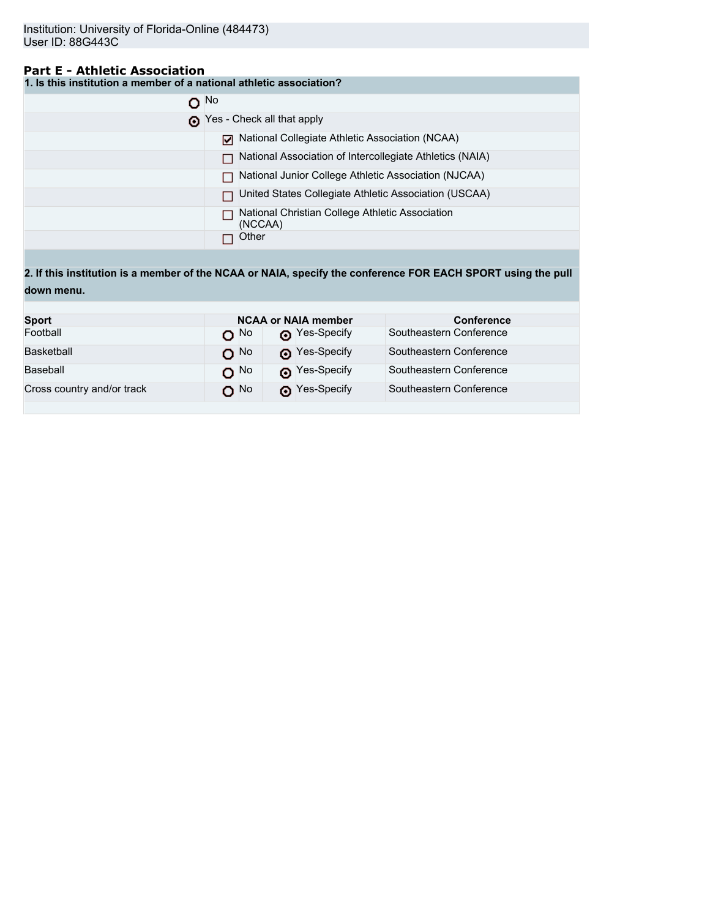## **Part E - Athletic Association**

**1. Is this institution a member of a national athletic association?**

| $\Omega$ No |                                                            |
|-------------|------------------------------------------------------------|
|             | Yes - Check all that apply                                 |
|             | National Collegiate Athletic Association (NCAA)            |
|             | National Association of Intercollegiate Athletics (NAIA)   |
|             | National Junior College Athletic Association (NJCAA)       |
|             | United States Collegiate Athletic Association (USCAA)      |
|             | National Christian College Athletic Association<br>(NCCAA) |
|             | Other                                                      |

**2. If this institution is a member of the NCAA or NAIA, specify the conference FOR EACH SPORT using the pull down menu.**

| <b>Sport</b>               |                   | <b>NCAA or NAIA member</b> | <b>Conference</b>       |  |  |
|----------------------------|-------------------|----------------------------|-------------------------|--|--|
| Football                   | റ <sup>No</sup>   | Pes-Specify                | Southeastern Conference |  |  |
| Basketball                 | $O$ <sup>No</sup> | Pes-Specify                | Southeastern Conference |  |  |
| Baseball                   | $O$ No            | Nes-Specify                | Southeastern Conference |  |  |
| Cross country and/or track | O No              | Pes-Specify                | Southeastern Conference |  |  |
|                            |                   |                            |                         |  |  |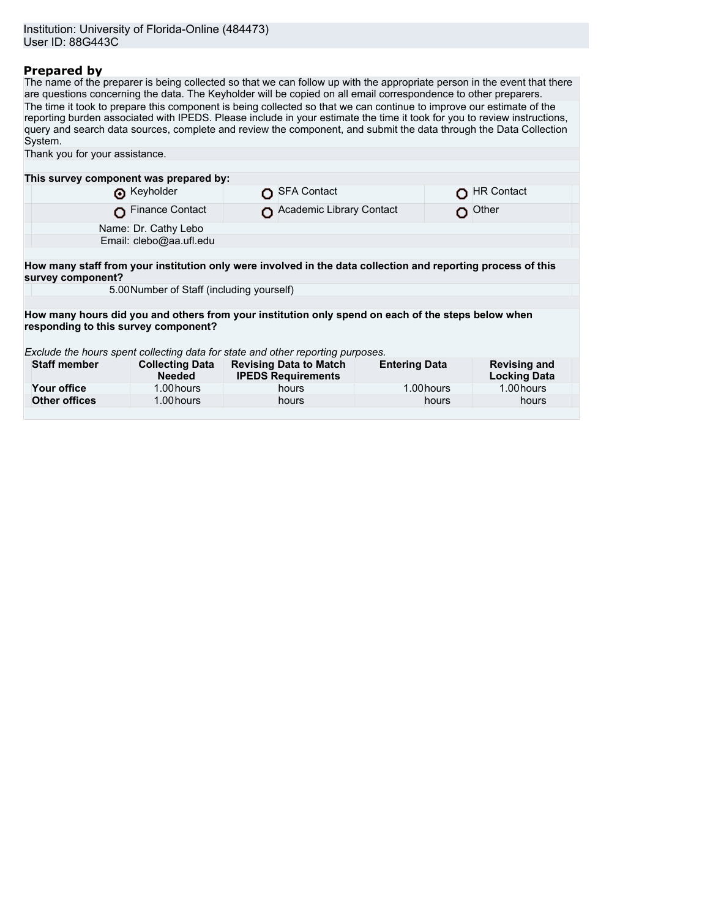Name: Dr. Cathy Lebo Email: clebo@aa.ufl.edu

## **Prepared by**

The name of the preparer is being collected so that we can follow up with the appropriate person in the event that there are questions concerning the data. The Keyholder will be copied on all email correspondence to other preparers. The time it took to prepare this component is being collected so that we can continue to improve our estimate of the reporting burden associated with IPEDS. Please include in your estimate the time it took for you to review instructions, query and search data sources, complete and review the component, and submit the data through the Data Collection System. Thank you for your assistance. **This survey component was prepared by:** O SFA Contact CHR Contact CHR Contact O Finance Contact **O** Academic Library Contact **Our CO** Other

**How many staff from your institution only were involved in the data collection and reporting process of this survey component?**

5.00Number of Staff (including yourself)

**How many hours did you and others from your institution only spend on each of the steps below when responding to this survey component?**

*Exclude the hours spent collecting data for state and other reporting purposes.*

| <b>Staff member</b> | <b>Collecting Data</b><br><b>Needed</b> | <b>Revising Data to Match</b><br><b>IPEDS Requirements</b> | <b>Entering Data</b> | <b>Revising and</b><br><b>Locking Data</b> |
|---------------------|-----------------------------------------|------------------------------------------------------------|----------------------|--------------------------------------------|
| Your office         | 1.00 hours                              | hours                                                      | 1.00 hours           | 1.00 hours                                 |
| Other offices       | 1.00 hours                              | hours                                                      | hours                | hours                                      |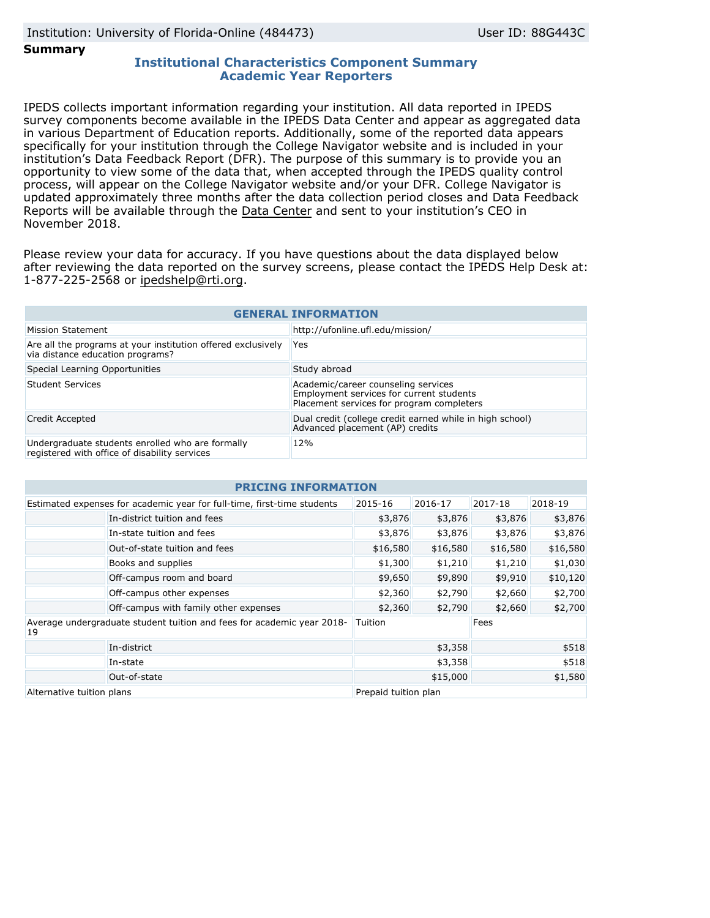**Summary**

## **Institutional Characteristics Component Summary Academic Year Reporters**

IPEDS collects important information regarding your institution. All data reported in IPEDS survey components become available in the IPEDS Data Center and appear as aggregated data in various Department of Education reports. Additionally, some of the reported data appears specifically for your institution through the College Navigator website and is included in your institution's Data Feedback Report (DFR). The purpose of this summary is to provide you an opportunity to view some of the data that, when accepted through the IPEDS quality control process, will appear on the College Navigator website and/or your DFR. College Navigator is updated approximately three months after the data collection period closes and Data Feedback Reports will be available through the [Data Center](https://nces.ed.gov/ipeds/use-the-data) and sent to your institution's CEO in November 2018.

Please review your data for accuracy. If you have questions about the data displayed below after reviewing the data reported on the survey screens, please contact the IPEDS Help Desk at: 1-877-225-2568 or ipedshelp@rti.org.

| <b>GENERAL INFORMATION</b>                                                                        |                                                                                                                              |  |  |  |
|---------------------------------------------------------------------------------------------------|------------------------------------------------------------------------------------------------------------------------------|--|--|--|
| Mission Statement                                                                                 | http://ufonline.ufl.edu/mission/                                                                                             |  |  |  |
| Are all the programs at your institution offered exclusively<br>via distance education programs?  | Yes                                                                                                                          |  |  |  |
| Special Learning Opportunities                                                                    | Study abroad                                                                                                                 |  |  |  |
| Student Services                                                                                  | Academic/career counseling services<br>Employment services for current students<br>Placement services for program completers |  |  |  |
| Credit Accepted                                                                                   | Dual credit (college credit earned while in high school)<br>Advanced placement (AP) credits                                  |  |  |  |
| Undergraduate students enrolled who are formally<br>registered with office of disability services | 12%                                                                                                                          |  |  |  |

| <b>PRICING INFORMA</b>                                                       |                                       |                      |          |          |          |  |  |
|------------------------------------------------------------------------------|---------------------------------------|----------------------|----------|----------|----------|--|--|
| Estimated expenses for academic year for full-time, first-time students      |                                       | 2015-16              | 2016-17  | 2017-18  | 2018-19  |  |  |
|                                                                              | In-district tuition and fees          | \$3,876              | \$3,876  | \$3,876  | \$3,876  |  |  |
|                                                                              | In-state tuition and fees             | \$3,876              | \$3,876  | \$3,876  | \$3,876  |  |  |
|                                                                              | Out-of-state tuition and fees         | \$16,580             | \$16,580 | \$16,580 | \$16,580 |  |  |
|                                                                              | Books and supplies                    | \$1,300              | \$1,210  | \$1,210  | \$1,030  |  |  |
|                                                                              | Off-campus room and board             | \$9,650              | \$9,890  | \$9,910  | \$10,120 |  |  |
|                                                                              | Off-campus other expenses             | \$2,360              | \$2,790  | \$2,660  | \$2,700  |  |  |
|                                                                              | Off-campus with family other expenses | \$2,360              | \$2,790  | \$2,660  | \$2,700  |  |  |
| Average undergraduate student tuition and fees for academic year 2018-<br>19 |                                       | Tuition              |          | Fees     |          |  |  |
|                                                                              | In-district                           | \$3,358              |          | \$518    |          |  |  |
|                                                                              | In-state                              | \$3,358              |          | \$518    |          |  |  |
|                                                                              | Out-of-state                          | \$15,000             |          | \$1,580  |          |  |  |
| Alternative tuition plans                                                    |                                       | Prepaid tuition plan |          |          |          |  |  |